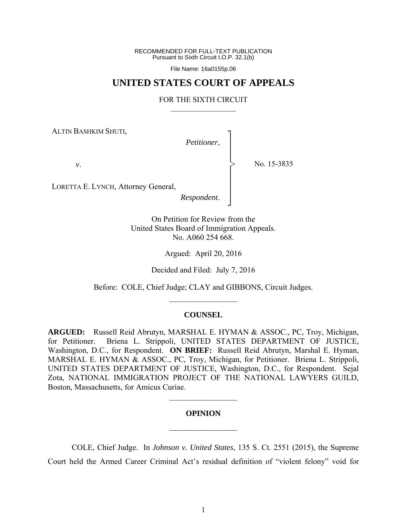RECOMMENDED FOR FULL-TEXT PUBLICATION Pursuant to Sixth Circuit I.O.P. 32.1(b)

File Name: 16a0155p.06

# **UNITED STATES COURT OF APPEALS**

### FOR THE SIXTH CIRCUIT  $\mathcal{L}_\text{max}$

ALTIN BASHKIM SHUTI,

*Petitioner*,

┐ │ │ │ │ │ │ │ ┘

>

*v*.

No. 15-3835

LORETTA E. LYNCH, Attorney General,

*Respondent*.

On Petition for Review from the United States Board of Immigration Appeals. No. A060 254 668.

Argued: April 20, 2016

Decided and Filed: July 7, 2016

Before: COLE, Chief Judge; CLAY and GIBBONS, Circuit Judges.  $\frac{1}{2}$ 

### **COUNSEL**

**ARGUED:** Russell Reid Abrutyn, MARSHAL E. HYMAN & ASSOC., PC, Troy, Michigan, for Petitioner. Briena L. Strippoli, UNITED STATES DEPARTMENT OF JUSTICE, Washington, D.C., for Respondent. **ON BRIEF:** Russell Reid Abrutyn, Marshal E. Hyman, MARSHAL E. HYMAN & ASSOC., PC, Troy, Michigan, for Petitioner. Briena L. Strippoli, UNITED STATES DEPARTMENT OF JUSTICE, Washington, D.C., for Respondent. Sejal Zota, NATIONAL IMMIGRATION PROJECT OF THE NATIONAL LAWYERS GUILD, Boston, Massachusetts, for Amicus Curiae.

### **OPINION**

 $\frac{1}{2}$ 

 $\frac{1}{2}$ 

 COLE, Chief Judge. In *Johnson v. United States*, 135 S. Ct. 2551 (2015), the Supreme Court held the Armed Career Criminal Act's residual definition of "violent felony" void for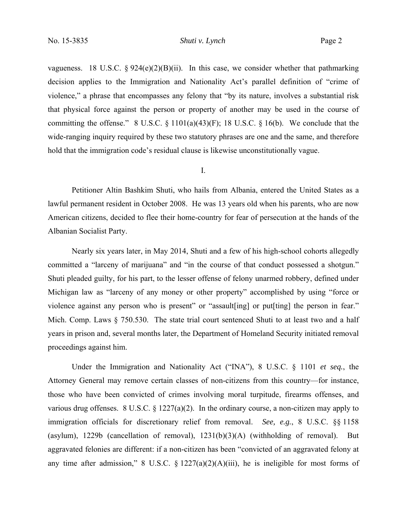vagueness. 18 U.S.C. §  $924(e)(2)(B)(ii)$ . In this case, we consider whether that pathmarking decision applies to the Immigration and Nationality Act's parallel definition of "crime of violence," a phrase that encompasses any felony that "by its nature, involves a substantial risk that physical force against the person or property of another may be used in the course of committing the offense." 8 U.S.C.  $\S$  1101(a)(43)(F); 18 U.S.C.  $\S$  16(b). We conclude that the wide-ranging inquiry required by these two statutory phrases are one and the same, and therefore hold that the immigration code's residual clause is likewise unconstitutionally vague.

### I.

Petitioner Altin Bashkim Shuti, who hails from Albania, entered the United States as a lawful permanent resident in October 2008. He was 13 years old when his parents, who are now American citizens, decided to flee their home-country for fear of persecution at the hands of the Albanian Socialist Party.

Nearly six years later, in May 2014, Shuti and a few of his high-school cohorts allegedly committed a "larceny of marijuana" and "in the course of that conduct possessed a shotgun." Shuti pleaded guilty, for his part, to the lesser offense of felony unarmed robbery, defined under Michigan law as "larceny of any money or other property" accomplished by using "force or violence against any person who is present" or "assault [ing] or put [ting] the person in fear." Mich. Comp. Laws § 750.530. The state trial court sentenced Shuti to at least two and a half years in prison and, several months later, the Department of Homeland Security initiated removal proceedings against him.

Under the Immigration and Nationality Act ("INA"), 8 U.S.C. § 1101 *et seq.*, the Attorney General may remove certain classes of non-citizens from this country—for instance, those who have been convicted of crimes involving moral turpitude, firearms offenses, and various drug offenses. 8 U.S.C. § 1227(a)(2). In the ordinary course, a non-citizen may apply to immigration officials for discretionary relief from removal. *See, e.g.*, 8 U.S.C. §§ 1158 (asylum), 1229b (cancellation of removal), 1231(b)(3)(A) (withholding of removal). But aggravated felonies are different: if a non-citizen has been "convicted of an aggravated felony at any time after admission," 8 U.S.C.  $\S 1227(a)(2)(A)(iii)$ , he is ineligible for most forms of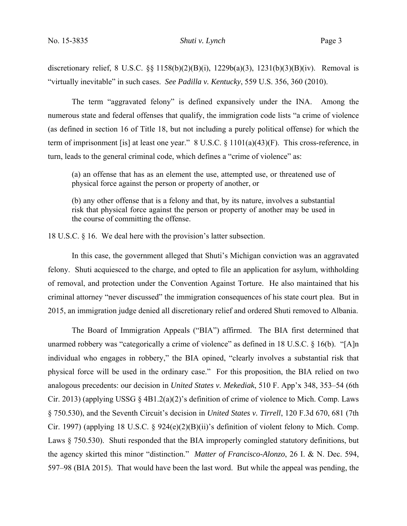discretionary relief, 8 U.S.C.  $\S$  {1158(b)(2)(B)(i), 1229b(a)(3), 1231(b)(3)(B)(iv). Removal is "virtually inevitable" in such cases. *See Padilla v. Kentucky*, 559 U.S. 356, 360 (2010).

The term "aggravated felony" is defined expansively under the INA. Among the numerous state and federal offenses that qualify, the immigration code lists "a crime of violence (as defined in section 16 of Title 18, but not including a purely political offense) for which the term of imprisonment [is] at least one year." 8 U.S.C. § 1101(a)(43)(F). This cross-reference, in turn, leads to the general criminal code, which defines a "crime of violence" as:

(a) an offense that has as an element the use, attempted use, or threatened use of physical force against the person or property of another, or

(b) any other offense that is a felony and that, by its nature, involves a substantial risk that physical force against the person or property of another may be used in the course of committing the offense.

18 U.S.C. § 16. We deal here with the provision's latter subsection.

In this case, the government alleged that Shuti's Michigan conviction was an aggravated felony. Shuti acquiesced to the charge, and opted to file an application for asylum, withholding of removal, and protection under the Convention Against Torture. He also maintained that his criminal attorney "never discussed" the immigration consequences of his state court plea. But in 2015, an immigration judge denied all discretionary relief and ordered Shuti removed to Albania.

The Board of Immigration Appeals ("BIA") affirmed. The BIA first determined that unarmed robbery was "categorically a crime of violence" as defined in 18 U.S.C. § 16(b). "[A]n individual who engages in robbery," the BIA opined, "clearly involves a substantial risk that physical force will be used in the ordinary case." For this proposition, the BIA relied on two analogous precedents: our decision in *United States v. Mekediak*, 510 F. App'x 348, 353–54 (6th Cir. 2013) (applying USSG § 4B1.2(a)(2)'s definition of crime of violence to Mich. Comp. Laws § 750.530), and the Seventh Circuit's decision in *United States v. Tirrell*, 120 F.3d 670, 681 (7th Cir. 1997) (applying 18 U.S.C. § 924(e)(2)(B)(ii)'s definition of violent felony to Mich. Comp. Laws § 750.530). Shuti responded that the BIA improperly comingled statutory definitions, but the agency skirted this minor "distinction." *Matter of Francisco-Alonzo*, 26 I. & N. Dec. 594, 597–98 (BIA 2015). That would have been the last word. But while the appeal was pending, the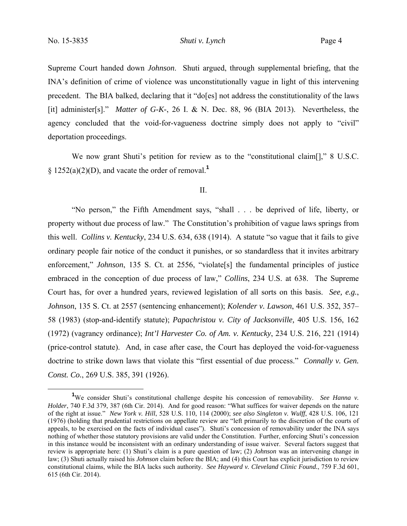Supreme Court handed down *Johnson*. Shuti argued, through supplemental briefing, that the INA's definition of crime of violence was unconstitutionally vague in light of this intervening precedent. The BIA balked, declaring that it "do[es] not address the constitutionality of the laws [it] administer[s]." *Matter of G-K-*, 26 I. & N. Dec. 88, 96 (BIA 2013). Nevertheless, the agency concluded that the void-for-vagueness doctrine simply does not apply to "civil" deportation proceedings.

We now grant Shuti's petition for review as to the "constitutional claim[]," 8 U.S.C. §  $1252(a)(2)(D)$ , and vacate the order of removal.<sup>1</sup>

### II.

"No person," the Fifth Amendment says, "shall . . . be deprived of life, liberty, or property without due process of law." The Constitution's prohibition of vague laws springs from this well. *Collins v. Kentucky*, 234 U.S. 634, 638 (1914). A statute "so vague that it fails to give ordinary people fair notice of the conduct it punishes, or so standardless that it invites arbitrary enforcement," *Johnson*, 135 S. Ct. at 2556, "violate<sup>[s]</sup> the fundamental principles of justice embraced in the conception of due process of law," *Collins*, 234 U.S. at 638. The Supreme Court has, for over a hundred years, reviewed legislation of all sorts on this basis. *See, e.g.*, *Johnson*, 135 S. Ct. at 2557 (sentencing enhancement); *Kolender v. Lawson*, 461 U.S. 352, 357– 58 (1983) (stop-and-identify statute); *Papachristou v. City of Jacksonville,* 405 U.S. 156, 162 (1972) (vagrancy ordinance); *Int'l Harvester Co. of Am. v. Kentucky*, 234 U.S. 216, 221 (1914) (price-control statute). And, in case after case, the Court has deployed the void-for-vagueness doctrine to strike down laws that violate this "first essential of due process." *Connally v. Gen. Const. Co.*, 269 U.S. 385, 391 (1926).

<sup>&</sup>lt;u>1</u> <sup>1</sup>We consider Shuti's constitutional challenge despite his concession of removability. *See Hanna v. Holder*, 740 F.3d 379, 387 (6th Cir. 2014). And for good reason: "What suffices for waiver depends on the nature of the right at issue." *New York v. Hill*, 528 U.S. 110, 114 (2000); *see also Singleton v. Wulff*, 428 U.S. 106, 121 (1976) (holding that prudential restrictions on appellate review are "left primarily to the discretion of the courts of appeals, to be exercised on the facts of individual cases"). Shuti's concession of removability under the INA says nothing of whether those statutory provisions are valid under the Constitution. Further, enforcing Shuti's concession in this instance would be inconsistent with an ordinary understanding of issue waiver. Several factors suggest that review is appropriate here: (1) Shuti's claim is a pure question of law; (2) *Johnson* was an intervening change in law; (3) Shuti actually raised his *Johnson* claim before the BIA; and (4) this Court has explicit jurisdiction to review constitutional claims, while the BIA lacks such authority. *See Hayward v. Cleveland Clinic Found.*, 759 F.3d 601, 615 (6th Cir. 2014).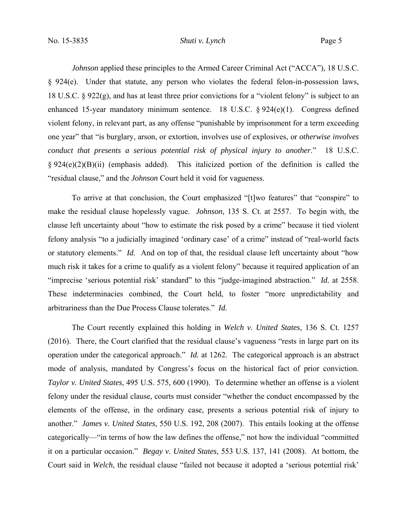*Johnson* applied these principles to the Armed Career Criminal Act ("ACCA"), 18 U.S.C. § 924(e). Under that statute, any person who violates the federal felon-in-possession laws, 18 U.S.C. § 922(g), and has at least three prior convictions for a "violent felony" is subject to an enhanced 15-year mandatory minimum sentence. 18 U.S.C. § 924(e)(1). Congress defined violent felony, in relevant part, as any offense "punishable by imprisonment for a term exceeding one year" that "is burglary, arson, or extortion, involves use of explosives, or *otherwise involves conduct that presents a serious potential risk of physical injury to another*." 18 U.S.C.  $\S 924(e)(2)(B)(ii)$  (emphasis added). This italicized portion of the definition is called the "residual clause," and the *Johnson* Court held it void for vagueness.

To arrive at that conclusion, the Court emphasized "[t]wo features" that "conspire" to make the residual clause hopelessly vague. *Johnson*, 135 S. Ct. at 2557. To begin with, the clause left uncertainty about "how to estimate the risk posed by a crime" because it tied violent felony analysis "to a judicially imagined 'ordinary case' of a crime" instead of "real-world facts or statutory elements." *Id.* And on top of that, the residual clause left uncertainty about "how much risk it takes for a crime to qualify as a violent felony" because it required application of an "imprecise 'serious potential risk' standard" to this "judge-imagined abstraction." *Id.* at 2558. These indeterminacies combined, the Court held, to foster "more unpredictability and arbitrariness than the Due Process Clause tolerates." *Id.*

The Court recently explained this holding in *Welch v. United States*, 136 S. Ct. 1257 (2016). There, the Court clarified that the residual clause's vagueness "rests in large part on its operation under the categorical approach." *Id.* at 1262. The categorical approach is an abstract mode of analysis, mandated by Congress's focus on the historical fact of prior conviction. *Taylor v. United States*, 495 U.S. 575, 600 (1990). To determine whether an offense is a violent felony under the residual clause, courts must consider "whether the conduct encompassed by the elements of the offense, in the ordinary case, presents a serious potential risk of injury to another." *James v. United States*, 550 U.S. 192, 208 (2007). This entails looking at the offense categorically—"in terms of how the law defines the offense," not how the individual "committed it on a particular occasion." *Begay v. United States*, 553 U.S. 137, 141 (2008). At bottom, the Court said in *Welch*, the residual clause "failed not because it adopted a 'serious potential risk'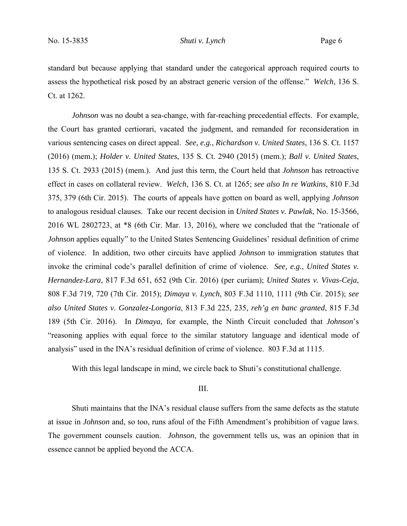standard but because applying that standard under the categorical approach required courts to assess the hypothetical risk posed by an abstract generic version of the offense." *Welch*, 136 S. Ct. at 1262.

*Johnson* was no doubt a sea-change, with far-reaching precedential effects. For example, the Court has granted certiorari, vacated the judgment, and remanded for reconsideration in various sentencing cases on direct appeal. *See, e.g.*, *Richardson v. United States*, 136 S. Ct. 1157 (2016) (mem.); *Holder v. United States*, 135 S. Ct. 2940 (2015) (mem.); *Ball v. United States*, 135 S. Ct. 2933 (2015) (mem.). And just this term, the Court held that *Johnson* has retroactive effect in cases on collateral review. *Welch*, 136 S. Ct. at 1265; *see also In re Watkins*, 810 F.3d 375, 379 (6th Cir. 2015). The courts of appeals have gotten on board as well, applying *Johnson* to analogous residual clauses. Take our recent decision in *United States v. Pawlak*, No. 15-3566, 2016 WL 2802723, at \*8 (6th Cir. Mar. 13, 2016), where we concluded that the "rationale of *Johnson* applies equally" to the United States Sentencing Guidelines' residual definition of crime of violence. In addition, two other circuits have applied *Johnson* to immigration statutes that invoke the criminal code's parallel definition of crime of violence. *See, e.g.*, *United States v. Hernandez-Lara*, 817 F.3d 651, 652 (9th Cir. 2016) (per curiam); *United States v. Vivas-Ceja*, 808 F.3d 719, 720 (7th Cir. 2015); *Dimaya v. Lynch*, 803 F.3d 1110, 1111 (9th Cir. 2015); *see also United States v. Gonzalez-Longoria*, 813 F.3d 225, 235, *reh'g en banc granted*, 815 F.3d 189 (5th Cir. 2016). In *Dimaya*, for example, the Ninth Circuit concluded that *Johnson*'s "reasoning applies with equal force to the similar statutory language and identical mode of analysis" used in the INA's residual definition of crime of violence. 803 F.3d at 1115.

With this legal landscape in mind, we circle back to Shuti's constitutional challenge.

# III.

Shuti maintains that the INA's residual clause suffers from the same defects as the statute at issue in *Johnson* and, so too, runs afoul of the Fifth Amendment's prohibition of vague laws. The government counsels caution. *Johnson*, the government tells us, was an opinion that in essence cannot be applied beyond the ACCA.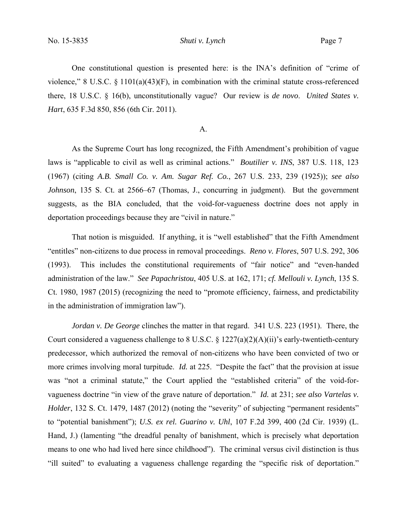One constitutional question is presented here: is the INA's definition of "crime of violence," 8 U.S.C. § 1101(a)(43)(F), in combination with the criminal statute cross-referenced there, 18 U.S.C. § 16(b), unconstitutionally vague? Our review is *de novo*. *United States v. Hart*, 635 F.3d 850, 856 (6th Cir. 2011).

### A.

As the Supreme Court has long recognized, the Fifth Amendment's prohibition of vague laws is "applicable to civil as well as criminal actions." *Boutilier v. INS*, 387 U.S. 118, 123 (1967) (citing *A.B. Small Co. v. Am. Sugar Ref. Co.*, 267 U.S. 233, 239 (1925)); *see also Johnson*, 135 S. Ct. at 2566–67 (Thomas, J., concurring in judgment). But the government suggests, as the BIA concluded, that the void-for-vagueness doctrine does not apply in deportation proceedings because they are "civil in nature."

That notion is misguided. If anything, it is "well established" that the Fifth Amendment "entitles" non-citizens to due process in removal proceedings. *Reno v. Flores*, 507 U.S. 292, 306 (1993). This includes the constitutional requirements of "fair notice" and "even-handed administration of the law." *See Papachristou*, 405 U.S. at 162, 171; *cf. Mellouli v. Lynch*, 135 S. Ct. 1980, 1987 (2015) (recognizing the need to "promote efficiency, fairness, and predictability in the administration of immigration law").

*Jordan v. De George* clinches the matter in that regard. 341 U.S. 223 (1951). There, the Court considered a vagueness challenge to 8 U.S.C. § 1227(a)(2)(A)(ii)'s early-twentieth-century predecessor, which authorized the removal of non-citizens who have been convicted of two or more crimes involving moral turpitude. *Id.* at 225. "Despite the fact" that the provision at issue was "not a criminal statute," the Court applied the "established criteria" of the void-forvagueness doctrine "in view of the grave nature of deportation." *Id.* at 231; *see also Vartelas v. Holder*, 132 S. Ct. 1479, 1487 (2012) (noting the "severity" of subjecting "permanent residents" to "potential banishment"); *U.S. ex rel. Guarino v. Uhl*, 107 F.2d 399, 400 (2d Cir. 1939) (L. Hand, J.) (lamenting "the dreadful penalty of banishment, which is precisely what deportation means to one who had lived here since childhood"). The criminal versus civil distinction is thus "ill suited" to evaluating a vagueness challenge regarding the "specific risk of deportation."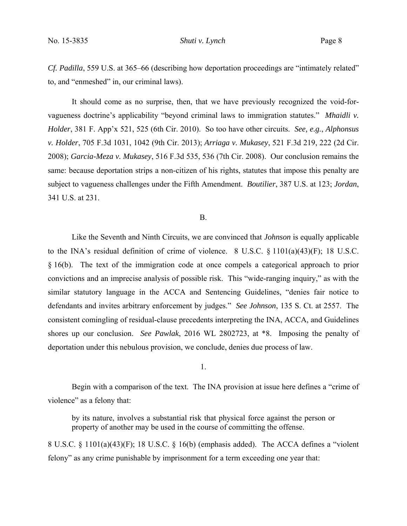*Cf. Padilla*, 559 U.S. at 365–66 (describing how deportation proceedings are "intimately related" to, and "enmeshed" in, our criminal laws).

It should come as no surprise, then, that we have previously recognized the void-forvagueness doctrine's applicability "beyond criminal laws to immigration statutes." *Mhaidli v. Holder*, 381 F. App'x 521, 525 (6th Cir. 2010). So too have other circuits. *See, e.g.*, *Alphonsus v. Holder*, 705 F.3d 1031, 1042 (9th Cir. 2013); *Arriaga v. Mukasey*, 521 F.3d 219, 222 (2d Cir. 2008); *Garcia-Meza v. Mukasey*, 516 F.3d 535, 536 (7th Cir. 2008). Our conclusion remains the same: because deportation strips a non-citizen of his rights, statutes that impose this penalty are subject to vagueness challenges under the Fifth Amendment. *Boutilier*, 387 U.S. at 123; *Jordan*, 341 U.S. at 231.

B.

 Like the Seventh and Ninth Circuits, we are convinced that *Johnson* is equally applicable to the INA's residual definition of crime of violence. 8 U.S.C. § 1101(a)(43)(F); 18 U.S.C. § 16(b). The text of the immigration code at once compels a categorical approach to prior convictions and an imprecise analysis of possible risk. This "wide-ranging inquiry," as with the similar statutory language in the ACCA and Sentencing Guidelines, "denies fair notice to defendants and invites arbitrary enforcement by judges." *See Johnson*, 135 S. Ct. at 2557. The consistent comingling of residual-clause precedents interpreting the INA, ACCA, and Guidelines shores up our conclusion. *See Pawlak*, 2016 WL 2802723, at \*8. Imposing the penalty of deportation under this nebulous provision, we conclude, denies due process of law.

#### 1.

Begin with a comparison of the text. The INA provision at issue here defines a "crime of violence" as a felony that:

by its nature, involves a substantial risk that physical force against the person or property of another may be used in the course of committing the offense.

8 U.S.C. § 1101(a)(43)(F); 18 U.S.C. § 16(b) (emphasis added). The ACCA defines a "violent felony" as any crime punishable by imprisonment for a term exceeding one year that: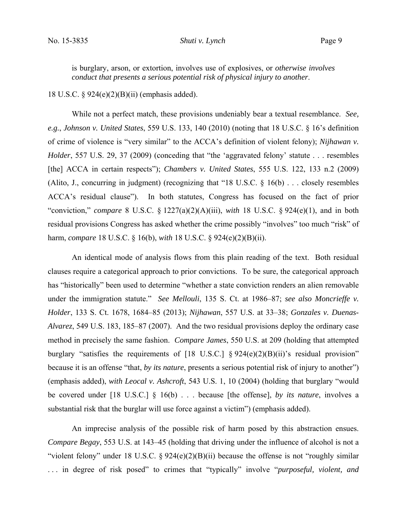is burglary, arson, or extortion, involves use of explosives, or *otherwise involves conduct that presents a serious potential risk of physical injury to another*.

18 U.S.C. § 924(e)(2)(B)(ii) (emphasis added).

While not a perfect match, these provisions undeniably bear a textual resemblance. *See, e.g.*, *Johnson v. United States*, 559 U.S. 133, 140 (2010) (noting that 18 U.S.C. § 16's definition of crime of violence is "very similar" to the ACCA's definition of violent felony); *Nijhawan v. Holder*, 557 U.S. 29, 37 (2009) (conceding that "the 'aggravated felony' statute . . . resembles [the] ACCA in certain respects"); *Chambers v. United States*, 555 U.S. 122, 133 n.2 (2009) (Alito, J., concurring in judgment) (recognizing that "18 U.S.C. § 16(b) . . . closely resembles ACCA's residual clause"). In both statutes, Congress has focused on the fact of prior "conviction," *compare* 8 U.S.C. § 1227(a)(2)(A)(iii), *with* 18 U.S.C. § 924(e)(1), and in both residual provisions Congress has asked whether the crime possibly "involves" too much "risk" of harm, *compare* 18 U.S.C. § 16(b), *with* 18 U.S.C. § 924(e)(2)(B)(ii).

An identical mode of analysis flows from this plain reading of the text. Both residual clauses require a categorical approach to prior convictions. To be sure, the categorical approach has "historically" been used to determine "whether a state conviction renders an alien removable under the immigration statute." *See Mellouli*, 135 S. Ct. at 1986–87; *see also Moncrieffe v. Holder*, 133 S. Ct. 1678, 1684–85 (2013); *Nijhawan*, 557 U.S. at 33–38; *Gonzales v. Duenas-Alvarez*, 549 U.S. 183, 185–87 (2007). And the two residual provisions deploy the ordinary case method in precisely the same fashion. *Compare James*, 550 U.S. at 209 (holding that attempted burglary "satisfies the requirements of [18 U.S.C.]  $\S 924(e)(2)(B)(ii)$ " residual provision" because it is an offense "that, *by its nature*, presents a serious potential risk of injury to another") (emphasis added), *with Leocal v. Ashcroft*, 543 U.S. 1, 10 (2004) (holding that burglary "would be covered under [18 U.S.C.] § 16(b) . . . because [the offense], *by its nature*, involves a substantial risk that the burglar will use force against a victim") (emphasis added).

An imprecise analysis of the possible risk of harm posed by this abstraction ensues. *Compare Begay*, 553 U.S. at 143–45 (holding that driving under the influence of alcohol is not a "violent felony" under 18 U.S.C. § 924(e)(2)(B)(ii) because the offense is not "roughly similar . . . in degree of risk posed" to crimes that "typically" involve "*purposeful, violent, and*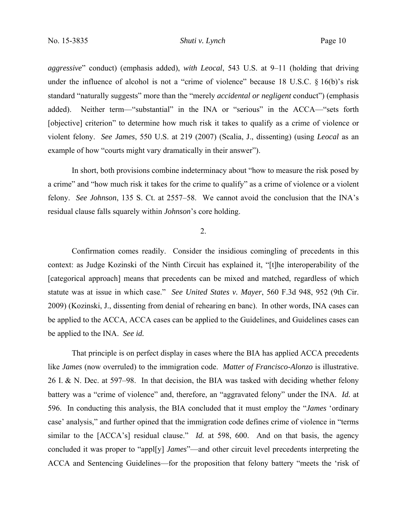*aggressive*" conduct) (emphasis added), *with Leocal*, 543 U.S. at 9–11 (holding that driving under the influence of alcohol is not a "crime of violence" because 18 U.S.C. § 16(b)'s risk standard "naturally suggests" more than the "merely *accidental or negligent* conduct") (emphasis added). Neither term—"substantial" in the INA or "serious" in the ACCA—"sets forth [objective] criterion" to determine how much risk it takes to qualify as a crime of violence or violent felony. *See James*, 550 U.S. at 219 (2007) (Scalia, J., dissenting) (using *Leocal* as an example of how "courts might vary dramatically in their answer").

In short, both provisions combine indeterminacy about "how to measure the risk posed by a crime" and "how much risk it takes for the crime to qualify" as a crime of violence or a violent felony. *See Johnson*, 135 S. Ct. at 2557–58. We cannot avoid the conclusion that the INA's residual clause falls squarely within *Johnson*'s core holding.

# 2.

Confirmation comes readily. Consider the insidious comingling of precedents in this context: as Judge Kozinski of the Ninth Circuit has explained it, "[t]he interoperability of the [categorical approach] means that precedents can be mixed and matched, regardless of which statute was at issue in which case." *See United States v. Mayer*, 560 F.3d 948, 952 (9th Cir. 2009) (Kozinski, J., dissenting from denial of rehearing en banc). In other words, INA cases can be applied to the ACCA, ACCA cases can be applied to the Guidelines, and Guidelines cases can be applied to the INA. *See id.*

That principle is on perfect display in cases where the BIA has applied ACCA precedents like *James* (now overruled) to the immigration code. *Matter of Francisco-Alonzo* is illustrative. 26 I. & N. Dec. at 597–98. In that decision, the BIA was tasked with deciding whether felony battery was a "crime of violence" and, therefore, an "aggravated felony" under the INA. *Id.* at 596. In conducting this analysis, the BIA concluded that it must employ the "*James* 'ordinary case' analysis," and further opined that the immigration code defines crime of violence in "terms similar to the [ACCA's] residual clause." *Id.* at 598, 600. And on that basis, the agency concluded it was proper to "appl[y] *James*"—and other circuit level precedents interpreting the ACCA and Sentencing Guidelines—for the proposition that felony battery "meets the 'risk of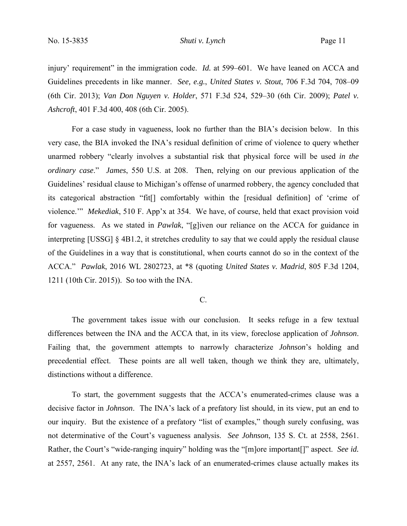injury' requirement" in the immigration code. *Id.* at 599–601. We have leaned on ACCA and Guidelines precedents in like manner. *See, e.g.*, *United States v. Stout*, 706 F.3d 704, 708–09 (6th Cir. 2013); *Van Don Nguyen v. Holder*, 571 F.3d 524, 529–30 (6th Cir. 2009); *Patel v. Ashcroft*, 401 F.3d 400, 408 (6th Cir. 2005).

For a case study in vagueness, look no further than the BIA's decision below. In this very case, the BIA invoked the INA's residual definition of crime of violence to query whether unarmed robbery "clearly involves a substantial risk that physical force will be used *in the ordinary case*." *James*, 550 U.S. at 208. Then, relying on our previous application of the Guidelines' residual clause to Michigan's offense of unarmed robbery, the agency concluded that its categorical abstraction "fit[] comfortably within the [residual definition] of 'crime of violence.'" *Mekediak*, 510 F. App'x at 354. We have, of course, held that exact provision void for vagueness. As we stated in *Pawlak*, "[g]iven our reliance on the ACCA for guidance in interpreting [USSG] § 4B1.2, it stretches credulity to say that we could apply the residual clause of the Guidelines in a way that is constitutional, when courts cannot do so in the context of the ACCA." *Pawlak*, 2016 WL 2802723, at \*8 (quoting *United States v. Madrid*, 805 F.3d 1204, 1211 (10th Cir. 2015)). So too with the INA.

### C.

 The government takes issue with our conclusion. It seeks refuge in a few textual differences between the INA and the ACCA that, in its view, foreclose application of *Johnson*. Failing that, the government attempts to narrowly characterize *Johnson*'s holding and precedential effect. These points are all well taken, though we think they are, ultimately, distinctions without a difference.

To start, the government suggests that the ACCA's enumerated-crimes clause was a decisive factor in *Johnson*. The INA's lack of a prefatory list should, in its view, put an end to our inquiry. But the existence of a prefatory "list of examples," though surely confusing, was not determinative of the Court's vagueness analysis. *See Johnson*, 135 S. Ct. at 2558, 2561. Rather, the Court's "wide-ranging inquiry" holding was the "[m]ore important[]" aspect. *See id.* at 2557, 2561. At any rate, the INA's lack of an enumerated-crimes clause actually makes its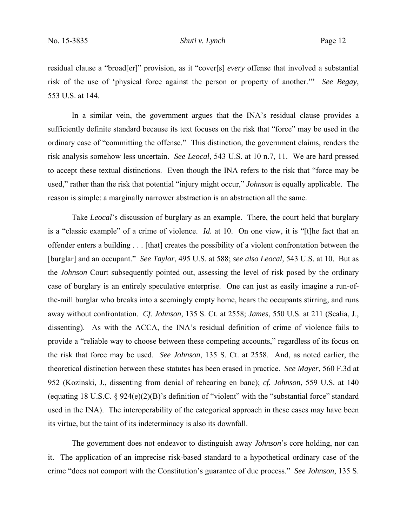residual clause a "broad[er]" provision, as it "cover[s] *every* offense that involved a substantial risk of the use of 'physical force against the person or property of another.'" *See Begay*, 553 U.S. at 144.

In a similar vein, the government argues that the INA's residual clause provides a sufficiently definite standard because its text focuses on the risk that "force" may be used in the ordinary case of "committing the offense." This distinction, the government claims, renders the risk analysis somehow less uncertain. *See Leocal*, 543 U.S. at 10 n.7, 11. We are hard pressed to accept these textual distinctions. Even though the INA refers to the risk that "force may be used," rather than the risk that potential "injury might occur," *Johnson* is equally applicable. The reason is simple: a marginally narrower abstraction is an abstraction all the same.

Take *Leocal*'s discussion of burglary as an example. There, the court held that burglary is a "classic example" of a crime of violence. *Id.* at 10. On one view, it is "[t]he fact that an offender enters a building . . . [that] creates the possibility of a violent confrontation between the [burglar] and an occupant." *See Taylor*, 495 U.S. at 588; *see also Leocal*, 543 U.S. at 10. But as the *Johnson* Court subsequently pointed out, assessing the level of risk posed by the ordinary case of burglary is an entirely speculative enterprise. One can just as easily imagine a run-ofthe-mill burglar who breaks into a seemingly empty home, hears the occupants stirring, and runs away without confrontation. *Cf. Johnson*, 135 S. Ct. at 2558; *James*, 550 U.S. at 211 (Scalia, J., dissenting). As with the ACCA, the INA's residual definition of crime of violence fails to provide a "reliable way to choose between these competing accounts," regardless of its focus on the risk that force may be used. *See Johnson*, 135 S. Ct. at 2558. And, as noted earlier, the theoretical distinction between these statutes has been erased in practice. *See Mayer*, 560 F.3d at 952 (Kozinski, J., dissenting from denial of rehearing en banc); *cf. Johnson*, 559 U.S. at 140 (equating 18 U.S.C. § 924(e)(2)(B)'s definition of "violent" with the "substantial force" standard used in the INA). The interoperability of the categorical approach in these cases may have been its virtue, but the taint of its indeterminacy is also its downfall.

The government does not endeavor to distinguish away *Johnson*'s core holding, nor can it. The application of an imprecise risk-based standard to a hypothetical ordinary case of the crime "does not comport with the Constitution's guarantee of due process." *See Johnson*, 135 S.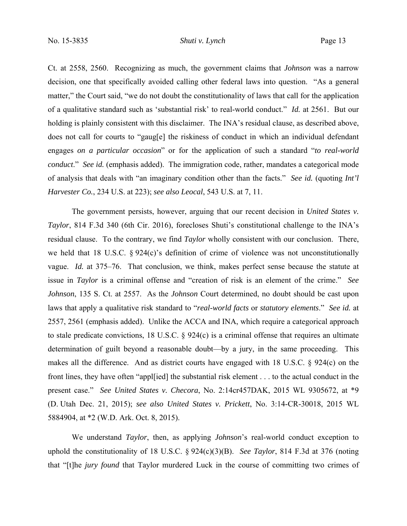Ct. at 2558, 2560. Recognizing as much, the government claims that *Johnson* was a narrow decision, one that specifically avoided calling other federal laws into question. "As a general matter," the Court said, "we do not doubt the constitutionality of laws that call for the application of a qualitative standard such as 'substantial risk' to real-world conduct." *Id.* at 2561. But our holding is plainly consistent with this disclaimer. The INA's residual clause, as described above, does not call for courts to "gaug[e] the riskiness of conduct in which an individual defendant engages *on a particular occasion*" or for the application of such a standard "*to real-world conduct*." *See id.* (emphasis added). The immigration code, rather, mandates a categorical mode of analysis that deals with "an imaginary condition other than the facts." *See id.* (quoting *Int'l Harvester Co.*, 234 U.S. at 223); *see also Leocal*, 543 U.S. at 7, 11.

The government persists, however, arguing that our recent decision in *United States v. Taylor*, 814 F.3d 340 (6th Cir. 2016), forecloses Shuti's constitutional challenge to the INA's residual clause. To the contrary, we find *Taylor* wholly consistent with our conclusion. There, we held that 18 U.S.C. § 924(c)'s definition of crime of violence was not unconstitutionally vague. *Id.* at 375–76. That conclusion, we think, makes perfect sense because the statute at issue in *Taylor* is a criminal offense and "creation of risk is an element of the crime." *See Johnson*, 135 S. Ct. at 2557. As the *Johnson* Court determined, no doubt should be cast upon laws that apply a qualitative risk standard to "*real-world facts* or *statutory elements*." *See id.* at 2557, 2561 (emphasis added). Unlike the ACCA and INA, which require a categorical approach to stale predicate convictions, 18 U.S.C. § 924(c) is a criminal offense that requires an ultimate determination of guilt beyond a reasonable doubt—by a jury, in the same proceeding. This makes all the difference. And as district courts have engaged with 18 U.S.C. § 924(c) on the front lines, they have often "appl[ied] the substantial risk element . . . to the actual conduct in the present case." *See United States v. Checora*, No. 2:14cr457DAK, 2015 WL 9305672, at \*9 (D. Utah Dec. 21, 2015); *see also United States v. Prickett*, No. 3:14-CR-30018, 2015 WL 5884904, at \*2 (W.D. Ark. Oct. 8, 2015).

We understand *Taylor*, then, as applying *Johnson*'s real-world conduct exception to uphold the constitutionality of 18 U.S.C. § 924(c)(3)(B). *See Taylor*, 814 F.3d at 376 (noting that "[t]he *jury found* that Taylor murdered Luck in the course of committing two crimes of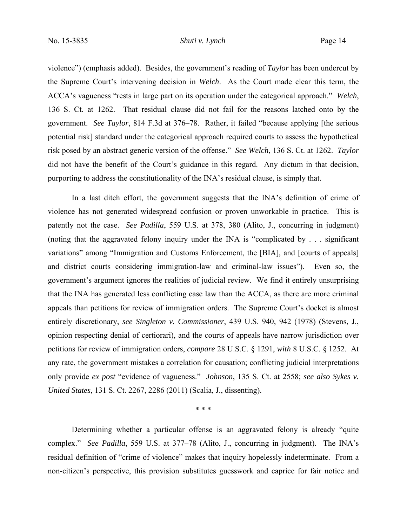violence") (emphasis added). Besides, the government's reading of *Taylor* has been undercut by the Supreme Court's intervening decision in *Welch*. As the Court made clear this term, the ACCA's vagueness "rests in large part on its operation under the categorical approach." *Welch*, 136 S. Ct. at 1262. That residual clause did not fail for the reasons latched onto by the government. *See Taylor*, 814 F.3d at 376–78. Rather, it failed "because applying [the serious potential risk] standard under the categorical approach required courts to assess the hypothetical risk posed by an abstract generic version of the offense." *See Welch*, 136 S. Ct. at 1262. *Taylor* did not have the benefit of the Court's guidance in this regard. Any dictum in that decision, purporting to address the constitutionality of the INA's residual clause, is simply that.

In a last ditch effort, the government suggests that the INA's definition of crime of violence has not generated widespread confusion or proven unworkable in practice. This is patently not the case. *See Padilla*, 559 U.S. at 378, 380 (Alito, J., concurring in judgment) (noting that the aggravated felony inquiry under the INA is "complicated by . . . significant variations" among "Immigration and Customs Enforcement, the [BIA], and [courts of appeals] and district courts considering immigration-law and criminal-law issues"). Even so, the government's argument ignores the realities of judicial review. We find it entirely unsurprising that the INA has generated less conflicting case law than the ACCA, as there are more criminal appeals than petitions for review of immigration orders. The Supreme Court's docket is almost entirely discretionary, *see Singleton v. Commissioner*, 439 U.S. 940, 942 (1978) (Stevens, J., opinion respecting denial of certiorari), and the courts of appeals have narrow jurisdiction over petitions for review of immigration orders, *compare* 28 U.S.C. § 1291, *with* 8 U.S.C. § 1252.At any rate, the government mistakes a correlation for causation; conflicting judicial interpretations only provide *ex post* "evidence of vagueness." *Johnson*, 135 S. Ct. at 2558; *see also Sykes v. United States*, 131 S. Ct. 2267, 2286 (2011) (Scalia, J., dissenting).

\* \* \*

Determining whether a particular offense is an aggravated felony is already "quite complex." *See Padilla*, 559 U.S. at 377–78 (Alito, J., concurring in judgment). The INA's residual definition of "crime of violence" makes that inquiry hopelessly indeterminate. From a non-citizen's perspective, this provision substitutes guesswork and caprice for fair notice and